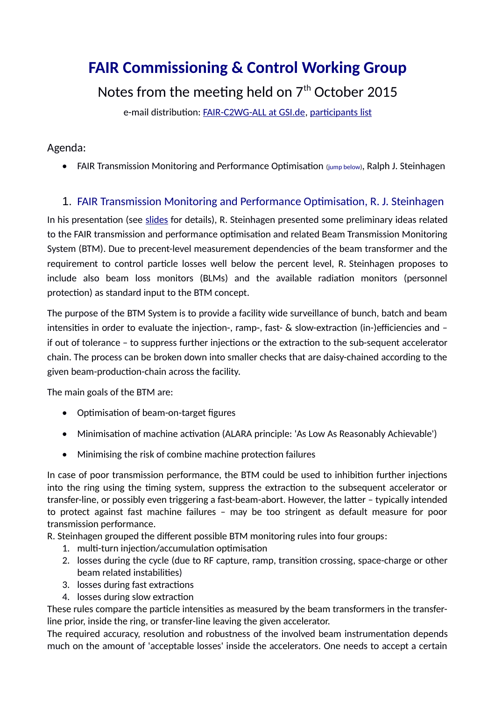# **FAIR Commissioning & Control Working Group**

## Notes from the meeting held on 7<sup>th</sup> October 2015

e-mail distribution: [FAIR-C2WG-ALL at GSI.de,](mailto:FAIR-C2WG-ALL%20(at)%20GSI%20(punkt)%20de) [participants list](https://fair-wiki.gsi.de/foswiki/pub/FC2WG/FairC2WGMinutes/20151007_FC2WG_AttendanceList.pdf)

#### Agenda:

FAIR Transmission Monitoring and Performance Optimisation (jump [below\)](#page-0-0), Ralph J. Steinhagen

### 1. FAIR Transmission Monitoring and Performance Optimisation, R. J. Steinhagen

<span id="page-0-0"></span>In his presentation (see [slides](https://fair-wiki.gsi.de/foswiki/pub/FC2WG/FairC2WGMinutes/20151007_FAIR_Transmission_and_Performance_Monitoring.pdf) for details), R. Steinhagen presented some preliminary ideas related to the FAIR transmission and performance optimisation and related Beam Transmission Monitoring System (BTM). Due to precent-level measurement dependencies of the beam transformer and the requirement to control particle losses well below the percent level, R. Steinhagen proposes to include also beam loss monitors (BLMs) and the available radiation monitors (personnel protection) as standard input to the BTM concept.

The purpose of the BTM System is to provide a facility wide surveillance of bunch, batch and beam intensities in order to evaluate the injection-, ramp-, fast- & slow-extraction (in-)efficiencies and – if out of tolerance – to suppress further injections or the extraction to the sub-sequent accelerator chain. The process can be broken down into smaller checks that are daisy-chained according to the given beam-production-chain across the facility.

The main goals of the BTM are:

- Optimisation of beam-on-target figures
- Minimisation of machine activation (ALARA principle: 'As Low As Reasonably Achievable')
- Minimising the risk of combine machine protection failures

In case of poor transmission performance, the BTM could be used to inhibition further injections into the ring using the timing system, suppress the extraction to the subsequent accelerator or transfer-line, or possibly even triggering a fast-beam-abort. However, the latter – typically intended to protect against fast machine failures – may be too stringent as default measure for poor transmission performance.

R. Steinhagen grouped the different possible BTM monitoring rules into four groups:

- 1. multi-turn injection/accumulation optimisation
- 2. losses during the cycle (due to RF capture, ramp, transition crossing, space-charge or other beam related instabilities)
- 3. losses during fast extractions
- 4. losses during slow extraction

These rules compare the particle intensities as measured by the beam transformers in the transferline prior, inside the ring, or transfer-line leaving the given accelerator.

The required accuracy, resolution and robustness of the involved beam instrumentation depends much on the amount of 'acceptable losses' inside the accelerators. One needs to accept a certain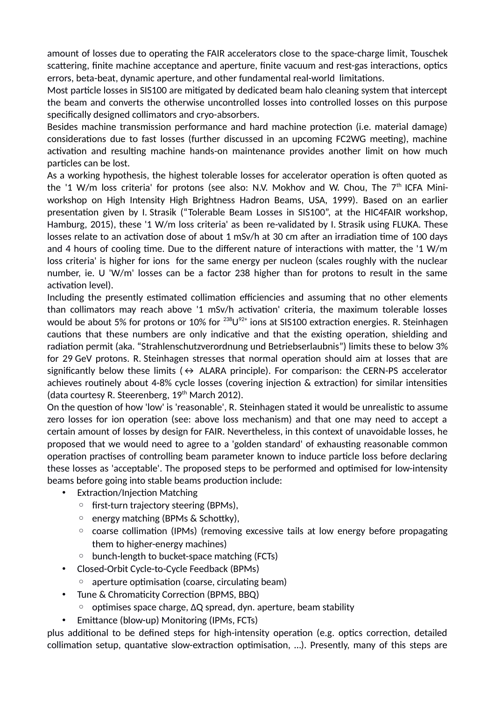amount of losses due to operating the FAIR accelerators close to the space-charge limit, Touschek scattering, finite machine acceptance and aperture, finite vacuum and rest-gas interactions, optics errors, beta-beat, dynamic aperture, and other fundamental real-world limitations.

Most particle losses in SIS100 are mitigated by dedicated beam halo cleaning system that intercept the beam and converts the otherwise uncontrolled losses into controlled losses on this purpose specifically designed collimators and cryo-absorbers.

Besides machine transmission performance and hard machine protection (i.e. material damage) considerations due to fast losses (further discussed in an upcoming FC2WG meeting), machine activation and resulting machine hands-on maintenance provides another limit on how much particles can be lost.

As a working hypothesis, the highest tolerable losses for accelerator operation is often quoted as the '1 W/m loss criteria' for protons (see also: N.V. Mokhov and W. Chou, The  $7<sup>th</sup>$  ICFA Miniworkshop on High Intensity High Brightness Hadron Beams, USA, 1999). Based on an earlier presentation given by I. Strasik ("Tolerable Beam Losses in SIS100", at the HIC4FAIR workshop, Hamburg, 2015), these '1 W/m loss criteria' as been re-validated by I. Strasik using FLUKA. These losses relate to an activation dose of about 1 mSv/h at 30 cm after an irradiation time of 100 days and 4 hours of cooling time. Due to the different nature of interactions with matter, the '1 W/m loss criteria' is higher for ions for the same energy per nucleon (scales roughly with the nuclear number, ie. U 'W/m' losses can be a factor 238 higher than for protons to result in the same activation level).

Including the presently estimated collimation efficiencies and assuming that no other elements than collimators may reach above '1 mSv/h activation' criteria, the maximum tolerable losses would be about 5% for protons or 10% for  $^{238}$ U $^{92+}$  ions at SIS100 extraction energies. R. Steinhagen cautions that these numbers are only indicative and that the existing operation, shielding and radiation permit (aka. "Strahlenschutzverordnung und Betriebserlaubnis") limits these to below 3% for 29 GeV protons. R. Steinhagen stresses that normal operation should aim at losses that are significantly below these limits ( $\leftrightarrow$  ALARA principle). For comparison: the CERN-PS accelerator achieves routinely about 4-8% cycle losses (covering injection & extraction) for similar intensities (data courtesy R. Steerenberg,  $19<sup>th</sup>$  March 2012).

On the question of how 'low' is 'reasonable', R. Steinhagen stated it would be unrealistic to assume zero losses for ion operation (see: above loss mechanism) and that one may need to accept a certain amount of losses by design for FAIR. Nevertheless, in this context of unavoidable losses, he proposed that we would need to agree to a 'golden standard' of exhausting reasonable common operation practises of controlling beam parameter known to induce particle loss before declaring these losses as 'acceptable'. The proposed steps to be performed and optimised for low-intensity beams before going into stable beams production include:

- Extraction/Injection Matching
	- first-turn trajectory steering (BPMs),
	- energy matching (BPMs & Schottky),
	- coarse collimation (IPMs) (removing excessive tails at low energy before propagating them to higher-energy machines)
	- bunch-length to bucket-space matching (FCTs)
- Closed-Orbit Cycle-to-Cycle Feedback (BPMs)
- aperture optimisation (coarse, circulating beam)
- Tune & Chromaticity Correction (BPMS, BBQ)
	- optimises space charge, ΔQ spread, dyn. aperture, beam stability
- Emittance (blow-up) Monitoring (IPMs, FCTs)

plus additional to be defined steps for high-intensity operation (e.g. optics correction, detailed collimation setup, quantative slow-extraction optimisation, …). Presently, many of this steps are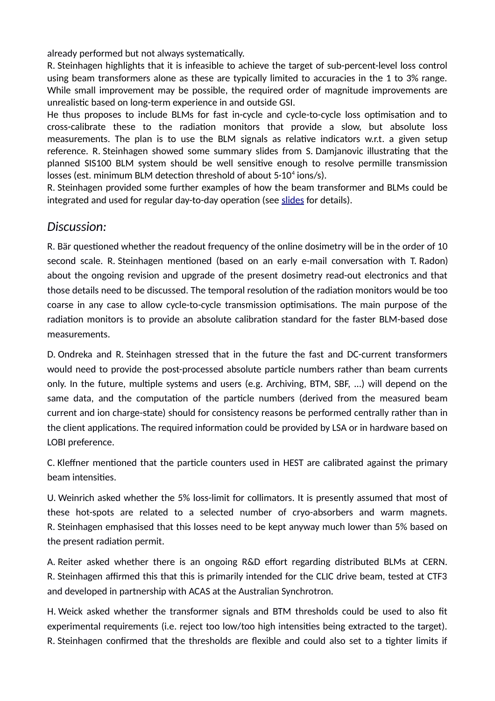already performed but not always systematically.

R. Steinhagen highlights that it is infeasible to achieve the target of sub-percent-level loss control using beam transformers alone as these are typically limited to accuracies in the 1 to 3% range. While small improvement may be possible, the required order of magnitude improvements are unrealistic based on long-term experience in and outside GSI.

He thus proposes to include BLMs for fast in-cycle and cycle-to-cycle loss optimisation and to cross-calibrate these to the radiation monitors that provide a slow, but absolute loss measurements. The plan is to use the BLM signals as relative indicators w.r.t. a given setup reference. R. Steinhagen showed some summary slides from S. Damjanovic illustrating that the planned SIS100 BLM system should be well sensitive enough to resolve permille transmission losses (est. minimum BLM detection threshold of about  $5·10<sup>4</sup>$  ions/s).

R. Steinhagen provided some further examples of how the beam transformer and BLMs could be integrated and used for regular day-to-day operation (see [slides](https://fair-wiki.gsi.de/foswiki/pub/FC2WG/FairC2WGMinutes/20151007_FAIR_Transmission_and_Performance_Monitoring.pdf) for details).

#### *Discussion:*

R. Bär questioned whether the readout frequency of the online dosimetry will be in the order of 10 second scale. R. Steinhagen mentioned (based on an early e-mail conversation with T. Radon) about the ongoing revision and upgrade of the present dosimetry read-out electronics and that those details need to be discussed. The temporal resolution of the radiation monitors would be too coarse in any case to allow cycle-to-cycle transmission optimisations. The main purpose of the radiation monitors is to provide an absolute calibration standard for the faster BLM-based dose measurements.

D. Ondreka and R. Steinhagen stressed that in the future the fast and DC-current transformers would need to provide the post-processed absolute particle numbers rather than beam currents only. In the future, multiple systems and users (e.g. Archiving, BTM, SBF, ...) will depend on the same data, and the computation of the particle numbers (derived from the measured beam current and ion charge-state) should for consistency reasons be performed centrally rather than in the client applications. The required information could be provided by LSA or in hardware based on LOBI preference.

C. Kleffner mentioned that the particle counters used in HEST are calibrated against the primary beam intensities.

U. Weinrich asked whether the 5% loss-limit for collimators. It is presently assumed that most of these hot-spots are related to a selected number of cryo-absorbers and warm magnets. R. Steinhagen emphasised that this losses need to be kept anyway much lower than 5% based on the present radiation permit.

A. Reiter asked whether there is an ongoing R&D effort regarding distributed BLMs at CERN. R. Steinhagen affirmed this that this is primarily intended for the CLIC drive beam, tested at CTF3 and developed in partnership with ACAS at the Australian Synchrotron.

H. Weick asked whether the transformer signals and BTM thresholds could be used to also fit experimental requirements (i.e. reject too low/too high intensities being extracted to the target). R. Steinhagen confirmed that the thresholds are flexible and could also set to a tighter limits if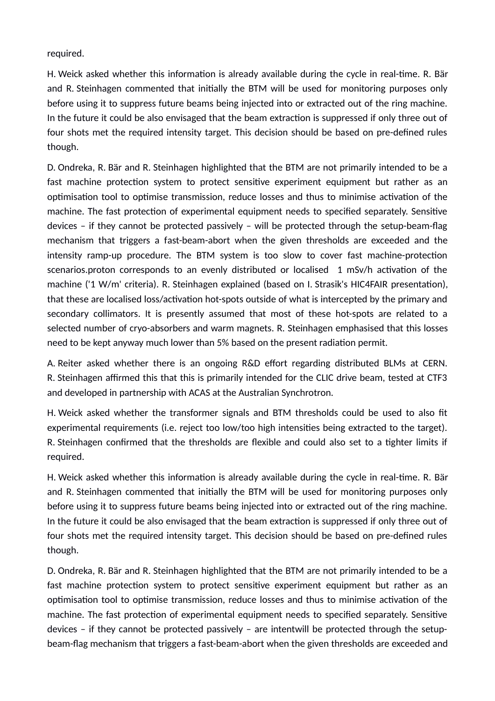required.

H. Weick asked whether this information is already available during the cycle in real-time. R. Bär and R. Steinhagen commented that initially the BTM will be used for monitoring purposes only before using it to suppress future beams being injected into or extracted out of the ring machine. In the future it could be also envisaged that the beam extraction is suppressed if only three out of four shots met the required intensity target. This decision should be based on pre-defined rules though.

D. Ondreka, R. Bär and R. Steinhagen highlighted that the BTM are not primarily intended to be a fast machine protection system to protect sensitive experiment equipment but rather as an optimisation tool to optimise transmission, reduce losses and thus to minimise activation of the machine. The fast protection of experimental equipment needs to specified separately. Sensitive devices – if they cannot be protected passively – will be protected through the setup-beam-flag mechanism that triggers a fast-beam-abort when the given thresholds are exceeded and the intensity ramp-up procedure. The BTM system is too slow to cover fast machine-protection scenarios.proton corresponds to an evenly distributed or localised 1 mSv/h activation of the machine ('1 W/m' criteria). R. Steinhagen explained (based on I. Strasik's HIC4FAIR presentation), that these are localised loss/activation hot-spots outside of what is intercepted by the primary and secondary collimators. It is presently assumed that most of these hot-spots are related to a selected number of cryo-absorbers and warm magnets. R. Steinhagen emphasised that this losses need to be kept anyway much lower than 5% based on the present radiation permit.

A. Reiter asked whether there is an ongoing R&D effort regarding distributed BLMs at CERN. R. Steinhagen affirmed this that this is primarily intended for the CLIC drive beam, tested at CTF3 and developed in partnership with ACAS at the Australian Synchrotron.

H. Weick asked whether the transformer signals and BTM thresholds could be used to also fit experimental requirements (i.e. reject too low/too high intensities being extracted to the target). R. Steinhagen confirmed that the thresholds are flexible and could also set to a tighter limits if required.

H. Weick asked whether this information is already available during the cycle in real-time. R. Bär and R. Steinhagen commented that initially the BTM will be used for monitoring purposes only before using it to suppress future beams being injected into or extracted out of the ring machine. In the future it could be also envisaged that the beam extraction is suppressed if only three out of four shots met the required intensity target. This decision should be based on pre-defined rules though.

D. Ondreka, R. Bär and R. Steinhagen highlighted that the BTM are not primarily intended to be a fast machine protection system to protect sensitive experiment equipment but rather as an optimisation tool to optimise transmission, reduce losses and thus to minimise activation of the machine. The fast protection of experimental equipment needs to specified separately. Sensitive devices – if they cannot be protected passively – are intentwill be protected through the setupbeam-flag mechanism that triggers a fast-beam-abort when the given thresholds are exceeded and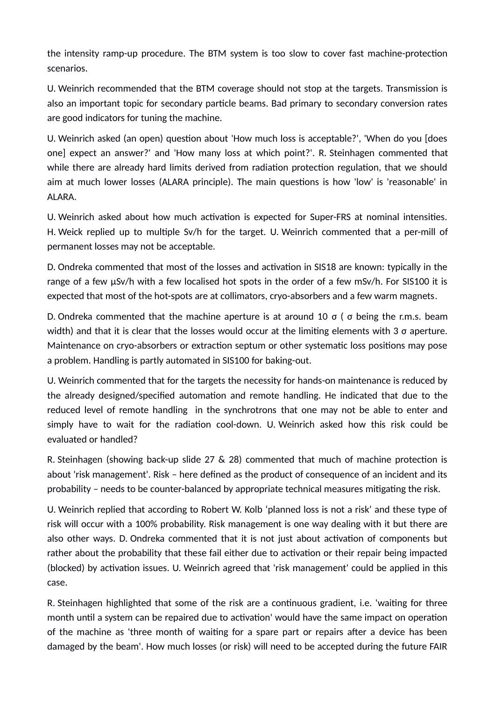the intensity ramp-up procedure. The BTM system is too slow to cover fast machine-protection scenarios.

U. Weinrich recommended that the BTM coverage should not stop at the targets. Transmission is also an important topic for secondary particle beams. Bad primary to secondary conversion rates are good indicators for tuning the machine.

U. Weinrich asked (an open) question about 'How much loss is acceptable?', 'When do you [does one] expect an answer?' and 'How many loss at which point?'. R. Steinhagen commented that while there are already hard limits derived from radiation protection regulation, that we should aim at much lower losses (ALARA principle). The main questions is how 'low' is 'reasonable' in ALARA.

U. Weinrich asked about how much activation is expected for Super-FRS at nominal intensities. H. Weick replied up to multiple Sv/h for the target. U. Weinrich commented that a per-mill of permanent losses may not be acceptable.

D. Ondreka commented that most of the losses and activation in SIS18 are known: typically in the range of a few μSv/h with a few localised hot spots in the order of a few mSv/h. For SIS100 it is expected that most of the hot-spots are at collimators, cryo-absorbers and a few warm magnets.

D. Ondreka commented that the machine aperture is at around 10 σ ( σ being the r.m.s. beam width) and that it is clear that the losses would occur at the limiting elements with 3 σ aperture. Maintenance on cryo-absorbers or extraction septum or other systematic loss positions may pose a problem. Handling is partly automated in SIS100 for baking-out.

U. Weinrich commented that for the targets the necessity for hands-on maintenance is reduced by the already designed/specified automation and remote handling. He indicated that due to the reduced level of remote handling in the synchrotrons that one may not be able to enter and simply have to wait for the radiation cool-down. U. Weinrich asked how this risk could be evaluated or handled?

R. Steinhagen (showing back-up slide 27 & 28) commented that much of machine protection is about 'risk management'. Risk – here defined as the product of consequence of an incident and its probability – needs to be counter-balanced by appropriate technical measures mitigating the risk.

U. Weinrich replied that according to Robert W. Kolb 'planned loss is not a risk' and these type of risk will occur with a 100% probability. Risk management is one way dealing with it but there are also other ways. D. Ondreka commented that it is not just about activation of components but rather about the probability that these fail either due to activation or their repair being impacted (blocked) by activation issues. U. Weinrich agreed that 'risk management' could be applied in this case.

R. Steinhagen highlighted that some of the risk are a continuous gradient, i.e. 'waiting for three month until a system can be repaired due to activation' would have the same impact on operation of the machine as 'three month of waiting for a spare part or repairs after a device has been damaged by the beam'. How much losses (or risk) will need to be accepted during the future FAIR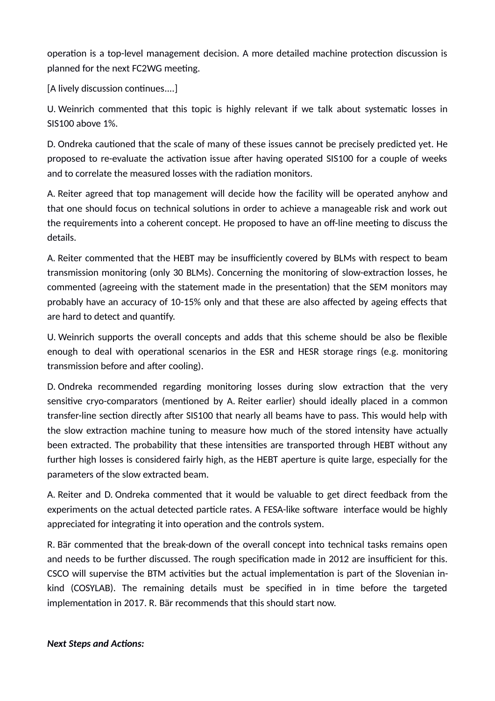operation is a top-level management decision. A more detailed machine protection discussion is planned for the next FC2WG meeting.

[A lively discussion continues....]

U. Weinrich commented that this topic is highly relevant if we talk about systematic losses in SIS100 above 1%.

D. Ondreka cautioned that the scale of many of these issues cannot be precisely predicted yet. He proposed to re-evaluate the activation issue after having operated SIS100 for a couple of weeks and to correlate the measured losses with the radiation monitors.

A. Reiter agreed that top management will decide how the facility will be operated anyhow and that one should focus on technical solutions in order to achieve a manageable risk and work out the requirements into a coherent concept. He proposed to have an off-line meeting to discuss the details.

A. Reiter commented that the HEBT may be insufficiently covered by BLMs with respect to beam transmission monitoring (only 30 BLMs). Concerning the monitoring of slow-extraction losses, he commented (agreeing with the statement made in the presentation) that the SEM monitors may probably have an accuracy of 10-15% only and that these are also affected by ageing effects that are hard to detect and quantify.

U. Weinrich supports the overall concepts and adds that this scheme should be also be flexible enough to deal with operational scenarios in the ESR and HESR storage rings (e.g. monitoring transmission before and after cooling).

D. Ondreka recommended regarding monitoring losses during slow extraction that the very sensitive cryo-comparators (mentioned by A. Reiter earlier) should ideally placed in a common transfer-line section directly after SIS100 that nearly all beams have to pass. This would help with the slow extraction machine tuning to measure how much of the stored intensity have actually been extracted. The probability that these intensities are transported through HEBT without any further high losses is considered fairly high, as the HEBT aperture is quite large, especially for the parameters of the slow extracted beam.

A. Reiter and D. Ondreka commented that it would be valuable to get direct feedback from the experiments on the actual detected particle rates. A FESA-like software interface would be highly appreciated for integrating it into operation and the controls system.

R. Bär commented that the break-down of the overall concept into technical tasks remains open and needs to be further discussed. The rough specification made in 2012 are insufficient for this. CSCO will supervise the BTM activities but the actual implementation is part of the Slovenian inkind (COSYLAB). The remaining details must be specified in in time before the targeted implementation in 2017. R. Bär recommends that this should start now.

*Next Steps and Actions:*